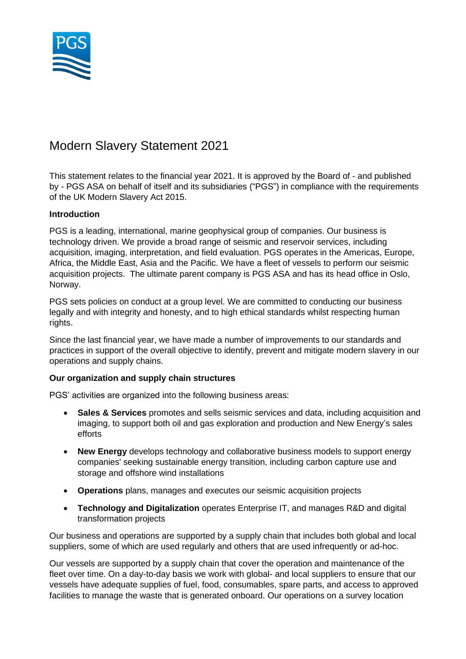

# Modern Slavery Statement 2021

This statement relates to the financial year 2021. It is approved by the Board of - and published by - PGS ASA on behalf of itself and its subsidiaries ("PGS") in compliance with the requirements of the UK Modern Slavery Act 2015.

## **Introduction**

PGS is a leading, international, marine geophysical group of companies. Our business is technology driven. We provide a broad range of seismic and reservoir services, including acquisition, imaging, interpretation, and field evaluation. PGS operates in the Americas, Europe, Africa, the Middle East, Asia and the Pacific. We have a fleet of vessels to perform our seismic acquisition projects. The ultimate parent company is PGS ASA and has its head office in Oslo, Norway.

PGS sets policies on conduct at a group level. We are committed to conducting our business legally and with integrity and honesty, and to high ethical standards whilst respecting human rights.

Since the last financial year, we have made a number of improvements to our standards and practices in support of the overall objective to identify, prevent and mitigate modern slavery in our operations and supply chains.

#### **Our organization and supply chain structures**

PGS' activities are organized into the following business areas:

- **Sales & Services** promotes and sells seismic services and data, including acquisition and imaging, to support both oil and gas exploration and production and New Energy's sales efforts
- **New Energy** develops technology and collaborative business models to support energy companies' seeking sustainable energy transition, including carbon capture use and storage and offshore wind installations
- **Operations** plans, manages and executes our seismic acquisition projects
- **Technology and Digitalization** operates Enterprise IT, and manages R&D and digital transformation projects

Our business and operations are supported by a supply chain that includes both global and local suppliers, some of which are used regularly and others that are used infrequently or ad-hoc.

Our vessels are supported by a supply chain that cover the operation and maintenance of the fleet over time. On a day-to-day basis we work with global- and local suppliers to ensure that our vessels have adequate supplies of fuel, food, consumables, spare parts, and access to approved facilities to manage the waste that is generated onboard. Our operations on a survey location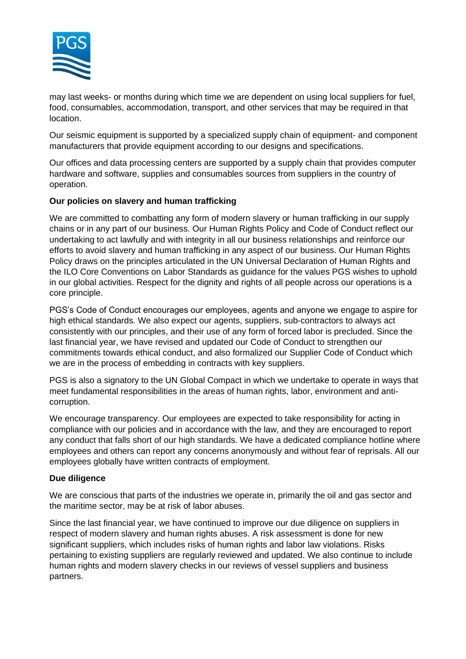

may last weeks- or months during which time we are dependent on using local suppliers for fuel, food, consumables, accommodation, transport, and other services that may be required in that location.

Our seismic equipment is supported by a specialized supply chain of equipment- and component manufacturers that provide equipment according to our designs and specifications.

Our offices and data processing centers are supported by a supply chain that provides computer hardware and software, supplies and consumables sources from suppliers in the country of operation.

## **Our policies on slavery and human trafficking**

We are committed to combatting any form of modern slavery or human trafficking in our supply chains or in any part of our business. Our Human Rights Policy and Code of Conduct reflect our undertaking to act lawfully and with integrity in all our business relationships and reinforce our efforts to avoid slavery and human trafficking in any aspect of our business. Our Human Rights Policy draws on the principles articulated in the UN Universal Declaration of Human Rights and the ILO Core Conventions on Labor Standards as guidance for the values PGS wishes to uphold in our global activities. Respect for the dignity and rights of all people across our operations is a core principle.

PGS's Code of Conduct encourages our employees, agents and anyone we engage to aspire for high ethical standards. We also expect our agents, suppliers, sub-contractors to always act consistently with our principles, and their use of any form of forced labor is precluded. Since the last financial year, we have revised and updated our Code of Conduct to strengthen our commitments towards ethical conduct, and also formalized our Supplier Code of Conduct which we are in the process of embedding in contracts with key suppliers.

PGS is also a signatory to the UN Global Compact in which we undertake to operate in ways that meet fundamental responsibilities in the areas of human rights, labor, environment and anticorruption.

We encourage transparency. Our employees are expected to take responsibility for acting in compliance with our policies and in accordance with the law, and they are encouraged to report any conduct that falls short of our high standards. We have a dedicated compliance hotline where employees and others can report any concerns anonymously and without fear of reprisals. All our employees globally have written contracts of employment.

#### **Due diligence**

We are conscious that parts of the industries we operate in, primarily the oil and gas sector and the maritime sector, may be at risk of labor abuses.

Since the last financial year, we have continued to improve our due diligence on suppliers in respect of modern slavery and human rights abuses. A risk assessment is done for new significant suppliers, which includes risks of human rights and labor law violations. Risks pertaining to existing suppliers are regularly reviewed and updated. We also continue to include human rights and modern slavery checks in our reviews of vessel suppliers and business partners.